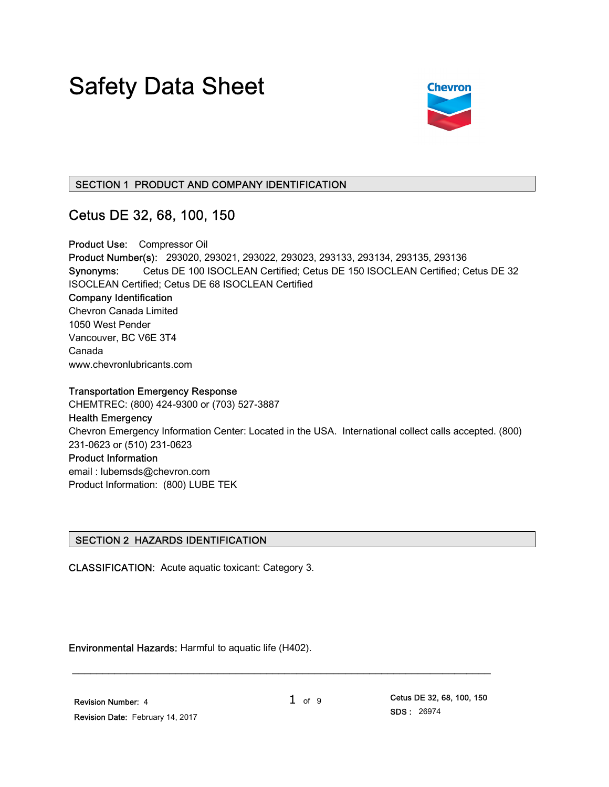# Safety Data Sheet



# SECTION 1 PRODUCT AND COMPANY IDENTIFICATION

# Cetus DE 32, 68, 100, 150

Product Use: Compressor Oil Product Number(s): 293020, 293021, 293022, 293023, 293133, 293134, 293135, 293136 Synonyms: Cetus DE 100 ISOCLEAN Certified; Cetus DE 150 ISOCLEAN Certified; Cetus DE 32 ISOCLEAN Certified; Cetus DE 68 ISOCLEAN Certified Company Identification Chevron Canada Limited 1050 West Pender Vancouver, BC V6E 3T4 Canada www.chevronlubricants.com

Transportation Emergency Response CHEMTREC: (800) 424-9300 or (703) 527-3887 Health Emergency Chevron Emergency Information Center: Located in the USA. International collect calls accepted. (800) 231-0623 or (510) 231-0623 Product Information email : lubemsds@chevron.com Product Information: (800) LUBE TEK

# SECTION 2 HAZARDS IDENTIFICATION

CLASSIFICATION: Acute aquatic toxicant: Category 3.

Environmental Hazards: Harmful to aquatic life (H402).

 Revision Number: 4 Revision Date: February 14, 2017

\_\_\_\_\_\_\_\_\_\_\_\_\_\_\_\_\_\_\_\_\_\_\_\_\_\_\_\_\_\_\_\_\_\_\_\_\_\_\_\_\_\_\_\_\_\_\_\_\_\_\_\_\_\_\_\_\_\_\_\_\_\_\_\_\_\_\_\_\_

 $1$  of 9 Cetus DE 32, 68, 100, 150 SDS : 26974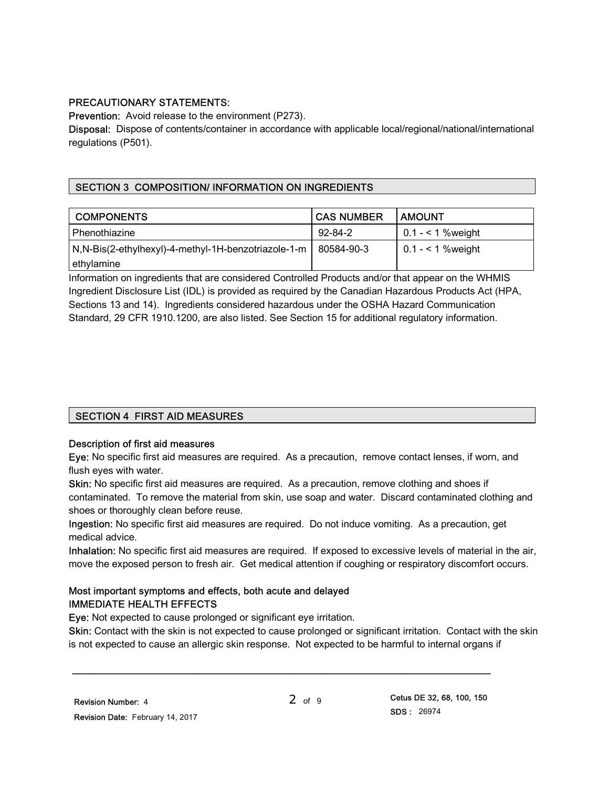# PRECAUTIONARY STATEMENTS:

Prevention: Avoid release to the environment (P273).

Disposal: Dispose of contents/container in accordance with applicable local/regional/national/international regulations (P501).

# SECTION 3 COMPOSITION/ INFORMATION ON INGREDIENTS

| <b>COMPONENTS</b>                                                 | l CAS NUMBER  | <b>LAMOUNT</b>          |
|-------------------------------------------------------------------|---------------|-------------------------|
| Phenothiazine                                                     | $92 - 84 - 2$ | 0.1 - $\leq$ 1 % weight |
| N, N-Bis(2-ethylhexyl)-4-methyl-1H-benzotriazole-1-m   80584-90-3 |               | 0.1 - $\leq$ 1 % weight |
| ethylamine                                                        |               |                         |

Information on ingredients that are considered Controlled Products and/or that appear on the WHMIS Ingredient Disclosure List (IDL) is provided as required by the Canadian Hazardous Products Act (HPA, Sections 13 and 14). Ingredients considered hazardous under the OSHA Hazard Communication Standard, 29 CFR 1910.1200, are also listed. See Section 15 for additional regulatory information.

# SECTION 4 FIRST AID MEASURES

# Description of first aid measures

Eye: No specific first aid measures are required. As a precaution, remove contact lenses, if worn, and flush eyes with water.

Skin: No specific first aid measures are required. As a precaution, remove clothing and shoes if contaminated. To remove the material from skin, use soap and water. Discard contaminated clothing and shoes or thoroughly clean before reuse.

Ingestion: No specific first aid measures are required. Do not induce vomiting. As a precaution, get medical advice.

Inhalation: No specific first aid measures are required. If exposed to excessive levels of material in the air, move the exposed person to fresh air. Get medical attention if coughing or respiratory discomfort occurs.

# Most important symptoms and effects, both acute and delayed IMMEDIATE HEALTH EFFECTS

Eye: Not expected to cause prolonged or significant eye irritation.

Skin: Contact with the skin is not expected to cause prolonged or significant irritation. Contact with the skin is not expected to cause an allergic skin response. Not expected to be harmful to internal organs if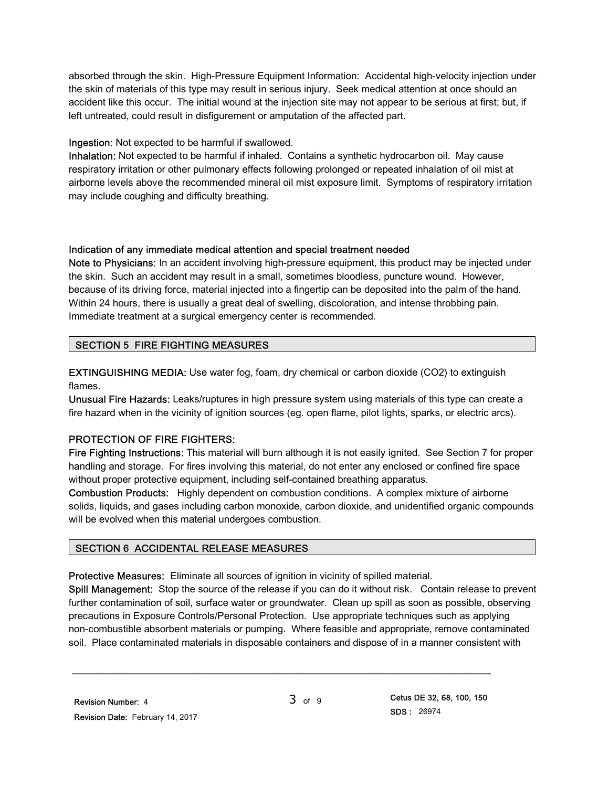absorbed through the skin. High-Pressure Equipment Information: Accidental high-velocity injection under the skin of materials of this type may result in serious injury. Seek medical attention at once should an accident like this occur. The initial wound at the injection site may not appear to be serious at first; but, if left untreated, could result in disfigurement or amputation of the affected part.

# Ingestion: Not expected to be harmful if swallowed.

Inhalation: Not expected to be harmful if inhaled. Contains a synthetic hydrocarbon oil. May cause respiratory irritation or other pulmonary effects following prolonged or repeated inhalation of oil mist at airborne levels above the recommended mineral oil mist exposure limit. Symptoms of respiratory irritation may include coughing and difficulty breathing.

# Indication of any immediate medical attention and special treatment needed

Note to Physicians: In an accident involving high-pressure equipment, this product may be injected under the skin. Such an accident may result in a small, sometimes bloodless, puncture wound. However, because of its driving force, material injected into a fingertip can be deposited into the palm of the hand. Within 24 hours, there is usually a great deal of swelling, discoloration, and intense throbbing pain. Immediate treatment at a surgical emergency center is recommended.

# SECTION 5 FIRE FIGHTING MEASURES

EXTINGUISHING MEDIA: Use water fog, foam, dry chemical or carbon dioxide (CO2) to extinguish flames.

Unusual Fire Hazards: Leaks/ruptures in high pressure system using materials of this type can create a fire hazard when in the vicinity of ignition sources (eg. open flame, pilot lights, sparks, or electric arcs).

# PROTECTION OF FIRE FIGHTERS:

Fire Fighting Instructions: This material will burn although it is not easily ignited. See Section 7 for proper handling and storage. For fires involving this material, do not enter any enclosed or confined fire space without proper protective equipment, including self-contained breathing apparatus.

Combustion Products: Highly dependent on combustion conditions. A complex mixture of airborne solids, liquids, and gases including carbon monoxide, carbon dioxide, and unidentified organic compounds will be evolved when this material undergoes combustion.

# SECTION 6 ACCIDENTAL RELEASE MEASURES

Protective Measures: Eliminate all sources of ignition in vicinity of spilled material.

Spill Management: Stop the source of the release if you can do it without risk. Contain release to prevent further contamination of soil, surface water or groundwater. Clean up spill as soon as possible, observing precautions in Exposure Controls/Personal Protection. Use appropriate techniques such as applying non-combustible absorbent materials or pumping. Where feasible and appropriate, remove contaminated soil. Place contaminated materials in disposable containers and dispose of in a manner consistent with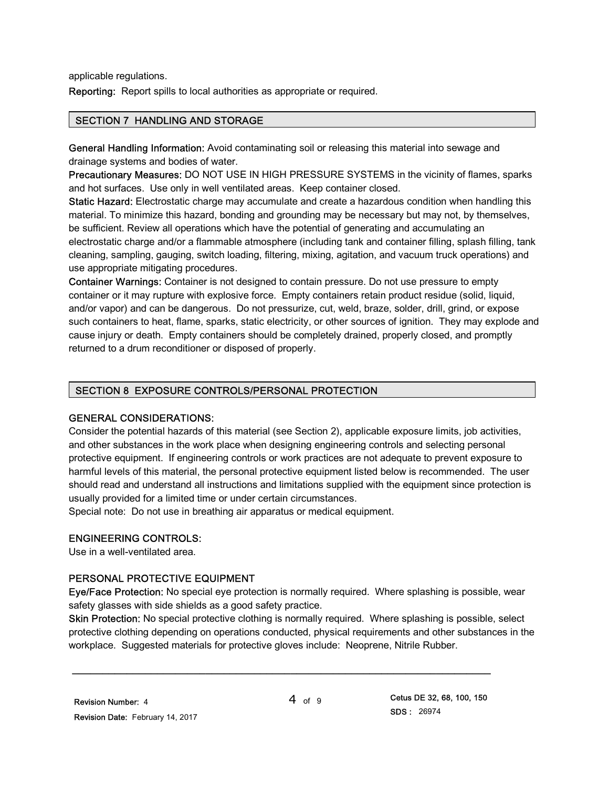applicable regulations.

Reporting: Report spills to local authorities as appropriate or required.

## SECTION 7 HANDLING AND STORAGE

General Handling Information: Avoid contaminating soil or releasing this material into sewage and drainage systems and bodies of water.

Precautionary Measures: DO NOT USE IN HIGH PRESSURE SYSTEMS in the vicinity of flames, sparks and hot surfaces. Use only in well ventilated areas. Keep container closed.

Static Hazard: Electrostatic charge may accumulate and create a hazardous condition when handling this material. To minimize this hazard, bonding and grounding may be necessary but may not, by themselves, be sufficient. Review all operations which have the potential of generating and accumulating an electrostatic charge and/or a flammable atmosphere (including tank and container filling, splash filling, tank cleaning, sampling, gauging, switch loading, filtering, mixing, agitation, and vacuum truck operations) and use appropriate mitigating procedures.

Container Warnings: Container is not designed to contain pressure. Do not use pressure to empty container or it may rupture with explosive force. Empty containers retain product residue (solid, liquid, and/or vapor) and can be dangerous. Do not pressurize, cut, weld, braze, solder, drill, grind, or expose such containers to heat, flame, sparks, static electricity, or other sources of ignition. They may explode and cause injury or death. Empty containers should be completely drained, properly closed, and promptly returned to a drum reconditioner or disposed of properly.

## SECTION 8 EXPOSURE CONTROLS/PERSONAL PROTECTION

#### GENERAL CONSIDERATIONS:

Consider the potential hazards of this material (see Section 2), applicable exposure limits, job activities, and other substances in the work place when designing engineering controls and selecting personal protective equipment. If engineering controls or work practices are not adequate to prevent exposure to harmful levels of this material, the personal protective equipment listed below is recommended. The user should read and understand all instructions and limitations supplied with the equipment since protection is usually provided for a limited time or under certain circumstances.

Special note: Do not use in breathing air apparatus or medical equipment.

#### ENGINEERING CONTROLS:

Use in a well-ventilated area.

# PERSONAL PROTECTIVE EQUIPMENT

Eye/Face Protection: No special eye protection is normally required. Where splashing is possible, wear safety glasses with side shields as a good safety practice.

Skin Protection: No special protective clothing is normally required. Where splashing is possible, select protective clothing depending on operations conducted, physical requirements and other substances in the workplace. Suggested materials for protective gloves include: Neoprene, Nitrile Rubber.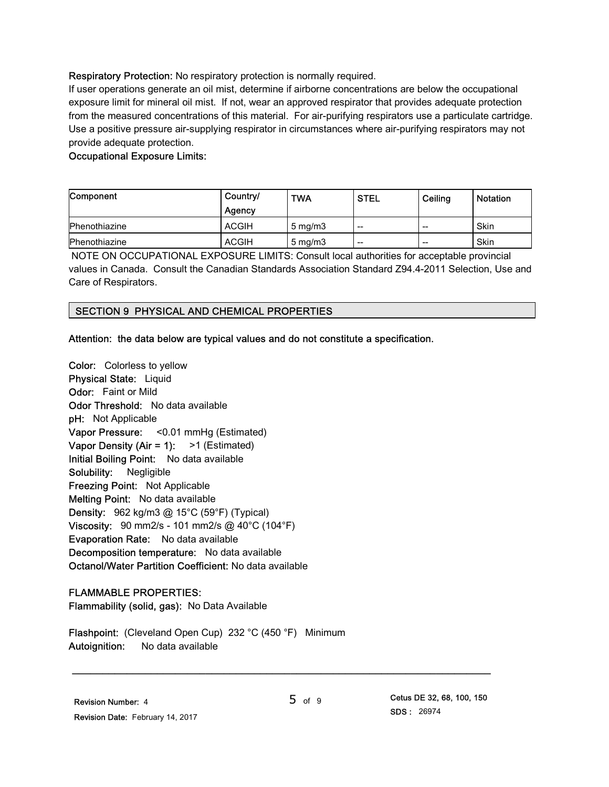## Respiratory Protection: No respiratory protection is normally required.

If user operations generate an oil mist, determine if airborne concentrations are below the occupational exposure limit for mineral oil mist. If not, wear an approved respirator that provides adequate protection from the measured concentrations of this material. For air-purifying respirators use a particulate cartridge. Use a positive pressure air-supplying respirator in circumstances where air-purifying respirators may not provide adequate protection.

## Occupational Exposure Limits:

| Component     | Country/     | <b>TWA</b>       | <b>STEL</b>              | Ceiling | <b>Notation</b> |
|---------------|--------------|------------------|--------------------------|---------|-----------------|
|               | Agency       |                  |                          |         |                 |
| Phenothiazine | <b>ACGIH</b> | $5 \text{ mg/m}$ | $\overline{\phantom{a}}$ | $- -$   | Skin            |
| Phenothiazine | <b>ACGIH</b> | $5 \text{ mg/m}$ | $\overline{\phantom{a}}$ | $- -$   | Skin            |

 NOTE ON OCCUPATIONAL EXPOSURE LIMITS: Consult local authorities for acceptable provincial values in Canada. Consult the Canadian Standards Association Standard Z94.4-2011 Selection, Use and Care of Respirators.

# SECTION 9 PHYSICAL AND CHEMICAL PROPERTIES

#### Attention: the data below are typical values and do not constitute a specification.

Color: Colorless to yellow Physical State: Liquid Odor: Faint or Mild Odor Threshold: No data available pH: Not Applicable Vapor Pressure: <0.01 mmHg (Estimated) Vapor Density (Air = 1):  $>1$  (Estimated) Initial Boiling Point: No data available Solubility: Negligible Freezing Point: Not Applicable Melting Point: No data available Density: 962 kg/m3 @ 15°C (59°F) (Typical) Viscosity: 90 mm2/s - 101 mm2/s @ 40°C (104°F) Evaporation Rate: No data available Decomposition temperature: No data available Octanol/Water Partition Coefficient: No data available

#### FLAMMABLE PROPERTIES:

Flammability (solid, gas): No Data Available

Flashpoint: (Cleveland Open Cup) 232 °C (450 °F) Minimum Autoignition: No data available

\_\_\_\_\_\_\_\_\_\_\_\_\_\_\_\_\_\_\_\_\_\_\_\_\_\_\_\_\_\_\_\_\_\_\_\_\_\_\_\_\_\_\_\_\_\_\_\_\_\_\_\_\_\_\_\_\_\_\_\_\_\_\_\_\_\_\_\_\_

5 of 9 Cetus DE 32, 68, 100, 150 SDS : 26974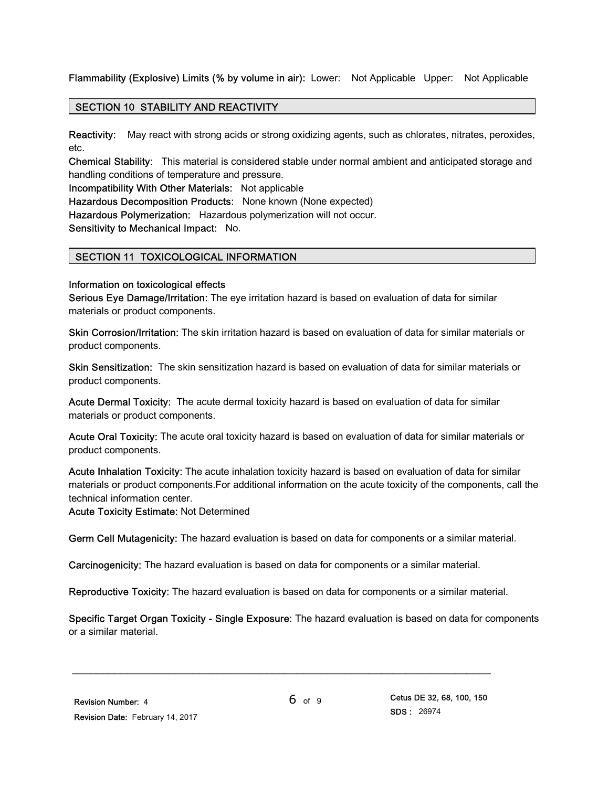# Flammability (Explosive) Limits (% by volume in air): Lower: Not Applicable Upper: Not Applicable

# SECTION 10 STABILITY AND REACTIVITY

Reactivity: May react with strong acids or strong oxidizing agents, such as chlorates, nitrates, peroxides, etc.

Chemical Stability: This material is considered stable under normal ambient and anticipated storage and handling conditions of temperature and pressure.

Incompatibility With Other Materials: Not applicable

Hazardous Decomposition Products: None known (None expected)

Hazardous Polymerization: Hazardous polymerization will not occur.

Sensitivity to Mechanical Impact: No.

# SECTION 11 TOXICOLOGICAL INFORMATION

#### Information on toxicological effects

Serious Eye Damage/Irritation: The eye irritation hazard is based on evaluation of data for similar materials or product components.

Skin Corrosion/Irritation: The skin irritation hazard is based on evaluation of data for similar materials or product components.

Skin Sensitization: The skin sensitization hazard is based on evaluation of data for similar materials or product components.

Acute Dermal Toxicity: The acute dermal toxicity hazard is based on evaluation of data for similar materials or product components.

Acute Oral Toxicity: The acute oral toxicity hazard is based on evaluation of data for similar materials or product components.

Acute Inhalation Toxicity: The acute inhalation toxicity hazard is based on evaluation of data for similar materials or product components.For additional information on the acute toxicity of the components, call the technical information center.

Acute Toxicity Estimate: Not Determined

Germ Cell Mutagenicity: The hazard evaluation is based on data for components or a similar material.

Carcinogenicity: The hazard evaluation is based on data for components or a similar material.

Reproductive Toxicity: The hazard evaluation is based on data for components or a similar material.

\_\_\_\_\_\_\_\_\_\_\_\_\_\_\_\_\_\_\_\_\_\_\_\_\_\_\_\_\_\_\_\_\_\_\_\_\_\_\_\_\_\_\_\_\_\_\_\_\_\_\_\_\_\_\_\_\_\_\_\_\_\_\_\_\_\_\_\_\_

Specific Target Organ Toxicity - Single Exposure: The hazard evaluation is based on data for components or a similar material.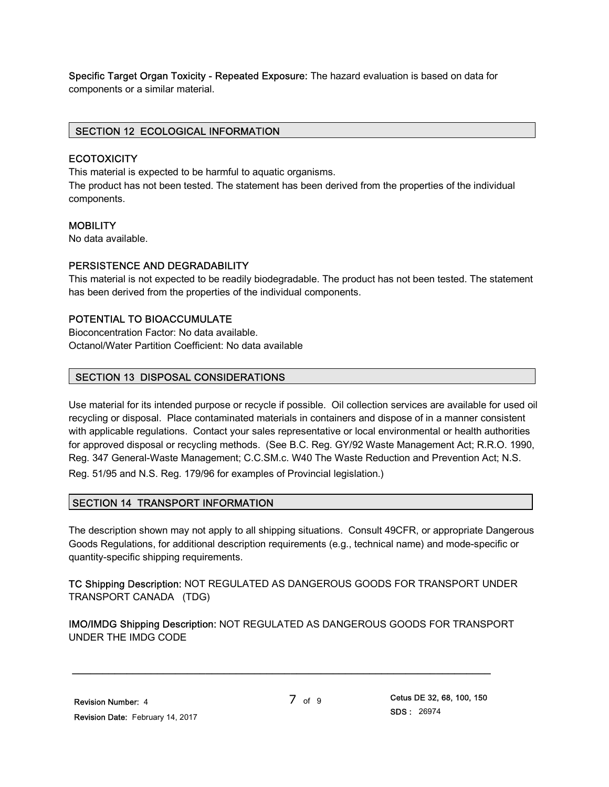Specific Target Organ Toxicity - Repeated Exposure: The hazard evaluation is based on data for components or a similar material.

## SECTION 12 ECOLOGICAL INFORMATION

#### **ECOTOXICITY**

This material is expected to be harmful to aquatic organisms.

The product has not been tested. The statement has been derived from the properties of the individual components.

# **MOBILITY**

No data available.

#### PERSISTENCE AND DEGRADABILITY

This material is not expected to be readily biodegradable. The product has not been tested. The statement has been derived from the properties of the individual components.

#### POTENTIAL TO BIOACCUMULATE

Bioconcentration Factor: No data available. Octanol/Water Partition Coefficient: No data available

#### SECTION 13 DISPOSAL CONSIDERATIONS

Use material for its intended purpose or recycle if possible. Oil collection services are available for used oil recycling or disposal. Place contaminated materials in containers and dispose of in a manner consistent with applicable regulations. Contact your sales representative or local environmental or health authorities for approved disposal or recycling methods. (See B.C. Reg. GY/92 Waste Management Act; R.R.O. 1990, Reg. 347 General-Waste Management; C.C.SM.c. W40 The Waste Reduction and Prevention Act; N.S. Reg. 51/95 and N.S. Reg. 179/96 for examples of Provincial legislation.)

# SECTION 14 TRANSPORT INFORMATION

The description shown may not apply to all shipping situations. Consult 49CFR, or appropriate Dangerous Goods Regulations, for additional description requirements (e.g., technical name) and mode-specific or quantity-specific shipping requirements.

TC Shipping Description: NOT REGULATED AS DANGEROUS GOODS FOR TRANSPORT UNDER TRANSPORT CANADA (TDG)

IMO/IMDG Shipping Description: NOT REGULATED AS DANGEROUS GOODS FOR TRANSPORT UNDER THE IMDG CODE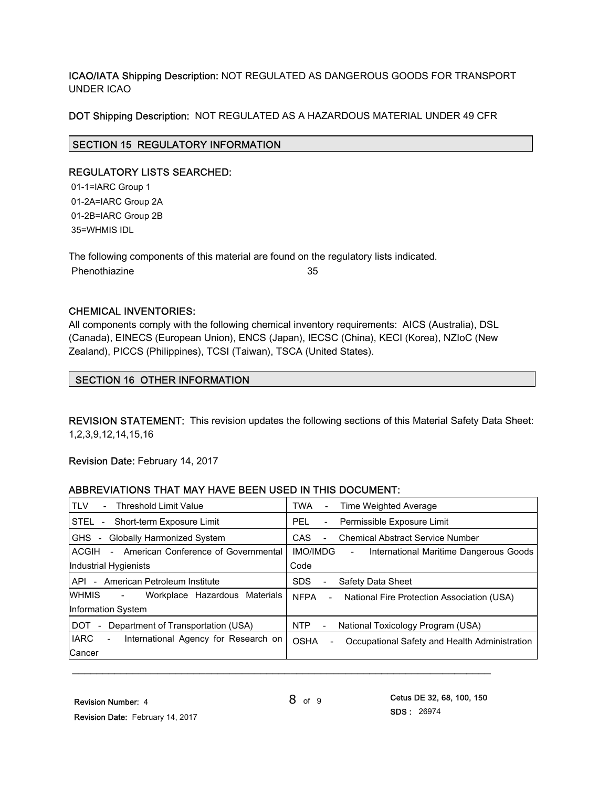# ICAO/IATA Shipping Description: NOT REGULATED AS DANGEROUS GOODS FOR TRANSPORT UNDER ICAO

# DOT Shipping Description: NOT REGULATED AS A HAZARDOUS MATERIAL UNDER 49 CFR

# SECTION 15 REGULATORY INFORMATION

# REGULATORY LISTS SEARCHED:

 01-1=IARC Group 1 01-2A=IARC Group 2A 01-2B=IARC Group 2B 35=WHMIS IDL

The following components of this material are found on the regulatory lists indicated. Phenothiazine 35

# CHEMICAL INVENTORIES:

All components comply with the following chemical inventory requirements: AICS (Australia), DSL (Canada), EINECS (European Union), ENCS (Japan), IECSC (China), KECI (Korea), NZIoC (New Zealand), PICCS (Philippines), TCSI (Taiwan), TSCA (United States).

# SECTION 16 OTHER INFORMATION

REVISION STATEMENT: This revision updates the following sections of this Material Safety Data Sheet: 1,2,3,9,12,14,15,16

Revision Date: February 14, 2017

# ABBREVIATIONS THAT MAY HAVE BEEN USED IN THIS DOCUMENT:

| <b>TLV</b><br><b>Threshold Limit Value</b>                            | <b>TWA</b><br>Time Weighted Average<br>$\overline{\phantom{a}}$                          |
|-----------------------------------------------------------------------|------------------------------------------------------------------------------------------|
| STEL -<br>Short-term Exposure Limit                                   | PEL.<br>Permissible Exposure Limit<br>$\overline{\phantom{a}}$                           |
| <b>GHS</b><br><b>Globally Harmonized System</b><br>$\blacksquare$     | <b>CAS</b><br><b>Chemical Abstract Service Number</b><br>$\overline{\phantom{0}}$        |
| American Conference of Governmental<br>ACGIH<br>$\sim$                | <b>IMO/IMDG</b><br>International Maritime Dangerous Goods<br>$\overline{\phantom{0}}$    |
| Industrial Hygienists                                                 | Code                                                                                     |
| API - American Petroleum Institute                                    | <b>SDS</b><br>Safety Data Sheet                                                          |
| WHMIS<br>Workplace Hazardous Materials<br>$\sim 100$                  | <b>NFPA</b><br>National Fire Protection Association (USA)<br>$\sim$                      |
| Information System                                                    |                                                                                          |
| <b>DOT</b><br>Department of Transportation (USA)                      | NTP<br>National Toxicology Program (USA)<br>$\sim$                                       |
| <b>IARC</b><br>International Agency for Research on<br>$\blacksquare$ | <b>OSHA</b><br>Occupational Safety and Health Administration<br>$\overline{\phantom{0}}$ |
| Cancer                                                                |                                                                                          |